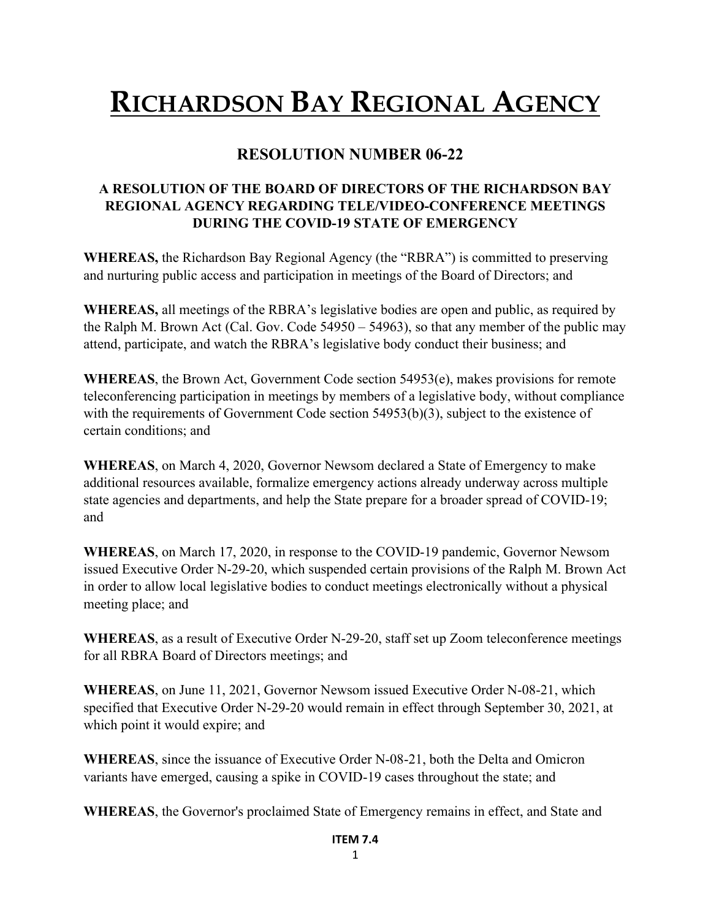## **RICHARDSON BAY REGIONAL AGENCY**

## **RESOLUTION NUMBER 06-22**

## **A RESOLUTION OF THE BOARD OF DIRECTORS OF THE RICHARDSON BAY REGIONAL AGENCY REGARDING TELE/VIDEO-CONFERENCE MEETINGS DURING THE COVID-19 STATE OF EMERGENCY**

**WHEREAS,** the Richardson Bay Regional Agency (the "RBRA") is committed to preserving and nurturing public access and participation in meetings of the Board of Directors; and

**WHEREAS,** all meetings of the RBRA's legislative bodies are open and public, as required by the Ralph M. Brown Act (Cal. Gov. Code 54950 – 54963), so that any member of the public may attend, participate, and watch the RBRA's legislative body conduct their business; and

**WHEREAS**, the Brown Act, Government Code section 54953(e), makes provisions for remote teleconferencing participation in meetings by members of a legislative body, without compliance with the requirements of Government Code section 54953(b)(3), subject to the existence of certain conditions; and

**WHEREAS**, on March 4, 2020, Governor Newsom declared a State of Emergency to make additional resources available, formalize emergency actions already underway across multiple state agencies and departments, and help the State prepare for a broader spread of COVID-19; and

**WHEREAS**, on March 17, 2020, in response to the COVID-19 pandemic, Governor Newsom issued Executive Order N-29-20, which suspended certain provisions of the Ralph M. Brown Act in order to allow local legislative bodies to conduct meetings electronically without a physical meeting place; and

**WHEREAS**, as a result of Executive Order N-29-20, staff set up Zoom teleconference meetings for all RBRA Board of Directors meetings; and

**WHEREAS**, on June 11, 2021, Governor Newsom issued Executive Order N-08-21, which specified that Executive Order N-29-20 would remain in effect through September 30, 2021, at which point it would expire; and

**WHEREAS**, since the issuance of Executive Order N-08-21, both the Delta and Omicron variants have emerged, causing a spike in COVID-19 cases throughout the state; and

**WHEREAS**, the Governor's proclaimed State of Emergency remains in effect, and State and